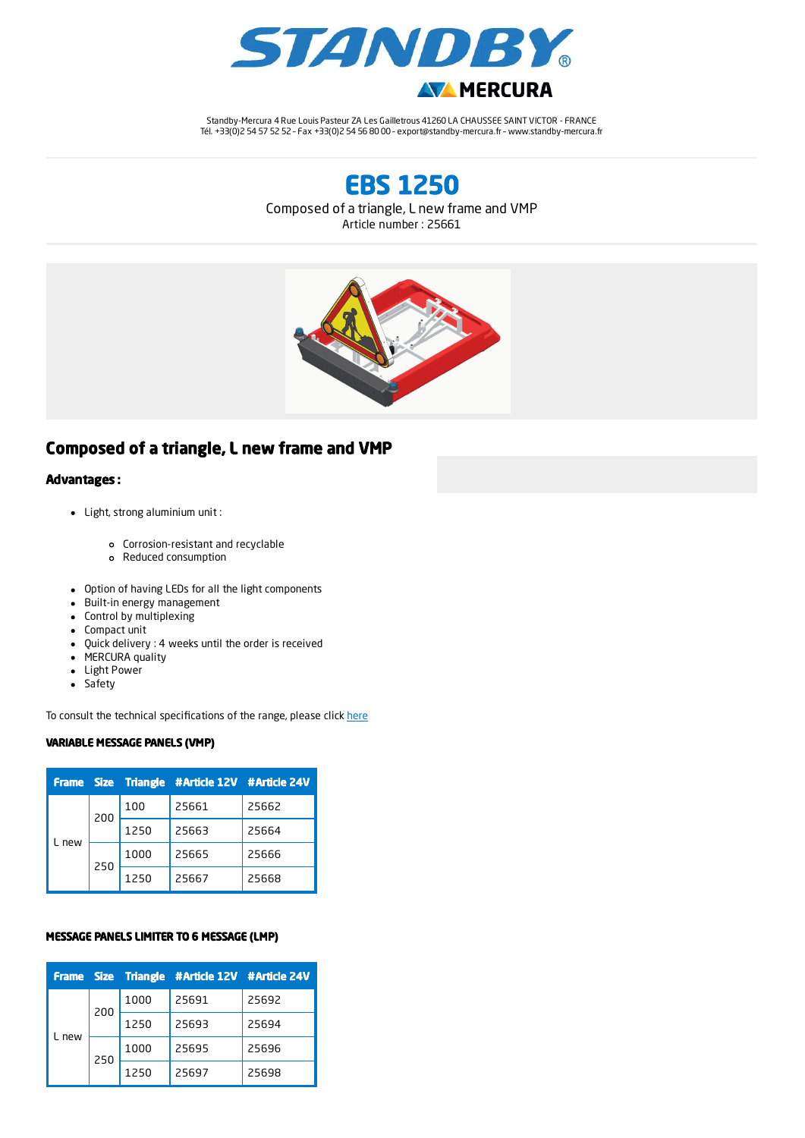

Standby-Mercura 4 Rue Louis Pasteur ZA Les Gailletrous 41260 LA CHAUSSEE SAINT VICTOR - FRANCE Tél. +33(0)2 54 57 52 52 – Fax +33(0)2 54 56 80 00 – export@standby-mercura.fr – www.standby-mercura.fr

EBS 1250

Composed of a triangle, L new frame and VMP

Article number : 25661



# Composed of a triangle, L new frame and VMP

### Advantages :

- Light, strong aluminium unit :
	- Corrosion-resistant and recyclable
	- Reduced consumption
- Option of having LEDs for all the light components
- Built-in energy management
- Control by multiplexing
- Compact unit
- Quick delivery : 4 weeks until the order is received
- MERCURA quality
- Light Power
- Safety

To consult the technical specifications of the range, please click [here](https://www.mercura.fr/media/uploads/2017/09/technical-specifications.pdf)

#### VARIABLE MESSAGE PANELS (VMP)

|     |     |      | Frame Size Triangle #Article 12V #Article 24V |       |
|-----|-----|------|-----------------------------------------------|-------|
| new | 200 | 100  | 25661                                         | 25662 |
|     |     | 1250 | 25663                                         | 25664 |
|     | 250 | 1000 | 25665                                         | 25666 |
|     |     | 1250 | 25667                                         | 25668 |

#### MESSAGE PANELS LIMITER TO 6 MESSAGE (LMP)

|     |     |      | Frame Size Triangle #Article 12V #Article 24V |       |
|-----|-----|------|-----------------------------------------------|-------|
| new | 200 | 1000 | 25691                                         | 25692 |
|     |     | 1250 | 25693                                         | 25694 |
|     | 250 | 1000 | 25695                                         | 25696 |
|     |     | 1250 | 25697                                         | 25698 |